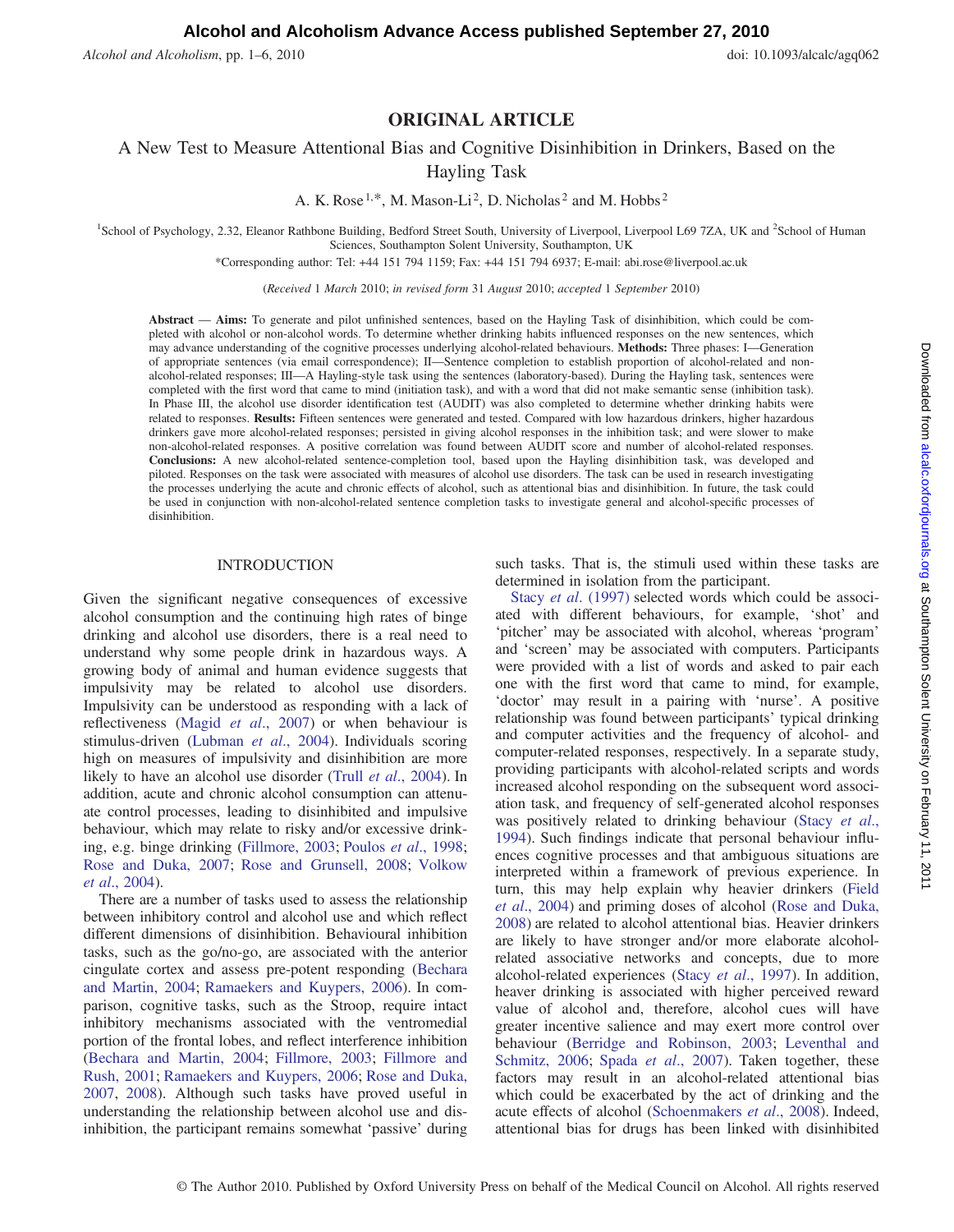**Alcohol and Alcoholism Advance Access published September 27, 2010**

# ORIGINAL ARTICLE

A New Test to Measure Attentional Bias and Cognitive Disinhibition in Drinkers, Based on the

Hayling Task

A. K. Rose<sup>1,\*</sup>, M. Mason-Li<sup>2</sup>, D. Nicholas<sup>2</sup> and M. Hobbs<sup>2</sup>

<sup>1</sup>School of Psychology, 2.32, Eleanor Rathbone Building, Bedford Street South, University of Liverpool, Liverpool L69 7ZA, UK and <sup>2</sup>School of Human Sciences, Southampton Solent University, Southampton, UK

\*Corresponding author: Tel: +44 151 794 1159; Fax: +44 151 794 6937; E-mail: abi.rose@liverpool.ac.uk

(Received 1 March 2010; in revised form 31 August 2010; accepted 1 September 2010)

Abstract — Aims: To generate and pilot unfinished sentences, based on the Hayling Task of disinhibition, which could be completed with alcohol or non-alcohol words. To determine whether drinking habits influenced responses on the new sentences, which may advance understanding of the cognitive processes underlying alcohol-related behaviours. Methods: Three phases: I—Generation of appropriate sentences (via email correspondence); II—Sentence completion to establish proportion of alcohol-related and nonalcohol-related responses; III—A Hayling-style task using the sentences (laboratory-based). During the Hayling task, sentences were completed with the first word that came to mind (initiation task), and with a word that did not make semantic sense (inhibition task). In Phase III, the alcohol use disorder identification test (AUDIT) was also completed to determine whether drinking habits were related to responses. Results: Fifteen sentences were generated and tested. Compared with low hazardous drinkers, higher hazardous drinkers gave more alcohol-related responses; persisted in giving alcohol responses in the inhibition task; and were slower to make non-alcohol-related responses. A positive correlation was found between AUDIT score and number of alcohol-related responses. Conclusions: A new alcohol-related sentence-completion tool, based upon the Hayling disinhibition task, was developed and piloted. Responses on the task were associated with measures of alcohol use disorders. The task can be used in research investigating the processes underlying the acute and chronic effects of alcohol, such as attentional bias and disinhibition. In future, the task could be used in conjunction with non-alcohol-related sentence completion tasks to investigate general and alcohol-specific processes of disinhibition.

## INTRODUCTION

Given the significant negative consequences of excessive alcohol consumption and the continuing high rates of binge drinking and alcohol use disorders, there is a real need to understand why some people drink in hazardous ways. A growing body of animal and human evidence suggests that impulsivity may be related to alcohol use disorders. Impulsivity can be understood as responding with a lack of reflectiveness (Magid et al[., 2007\)](#page-4-0) or when behaviour is stimulus-driven ([Lubman](#page-4-0) et al., 2004). Individuals scoring high on measures of impulsivity and disinhibition are more likely to have an alcohol use disorder (Trull *et al.*, 2004). In addition, acute and chronic alcohol consumption can attenuate control processes, leading to disinhibited and impulsive behaviour, which may relate to risky and/or excessive drinking, e.g. binge drinking ([Fillmore, 2003](#page-4-0); Poulos et al[., 1998](#page-4-0); [Rose and Duka, 2007;](#page-5-0) [Rose and Grunsell, 2008;](#page-5-0) [Volkow](#page-5-0) et al[., 2004](#page-5-0)).

There are a number of tasks used to assess the relationship between inhibitory control and alcohol use and which reflect different dimensions of disinhibition. Behavioural inhibition tasks, such as the go/no-go, are associated with the anterior cingulate cortex and assess pre-potent responding ([Bechara](#page-4-0) [and Martin, 2004;](#page-4-0) [Ramaekers and Kuypers, 2006](#page-5-0)). In comparison, cognitive tasks, such as the Stroop, require intact inhibitory mechanisms associated with the ventromedial portion of the frontal lobes, and reflect interference inhibition ([Bechara and Martin, 2004;](#page-4-0) [Fillmore, 2003;](#page-4-0) [Fillmore and](#page-4-0) [Rush, 2001](#page-4-0); [Ramaekers and Kuypers, 2006;](#page-5-0) [Rose and Duka,](#page-5-0) [2007,](#page-5-0) [2008](#page-5-0)). Although such tasks have proved useful in understanding the relationship between alcohol use and disinhibition, the participant remains somewhat 'passive' during

such tasks. That is, the stimuli used within these tasks are determined in isolation from the participant.

Stacy et al[. \(1997\)](#page-5-0) selected words which could be associated with different behaviours, for example, 'shot' and 'pitcher' may be associated with alcohol, whereas 'program' and 'screen' may be associated with computers. Participants were provided with a list of words and asked to pair each one with the first word that came to mind, for example, 'doctor' may result in a pairing with 'nurse'. A positive relationship was found between participants' typical drinking and computer activities and the frequency of alcohol- and computer-related responses, respectively. In a separate study, providing participants with alcohol-related scripts and words increased alcohol responding on the subsequent word association task, and frequency of self-generated alcohol responses was positively related to drinking behaviour [\(Stacy](#page-5-0) et al., [1994](#page-5-0)). Such findings indicate that personal behaviour influences cognitive processes and that ambiguous situations are interpreted within a framework of previous experience. In turn, this may help explain why heavier drinkers [\(Field](#page-4-0) et al[., 2004](#page-4-0)) and priming doses of alcohol ([Rose and Duka,](#page-5-0) [2008](#page-5-0)) are related to alcohol attentional bias. Heavier drinkers are likely to have stronger and/or more elaborate alcoholrelated associative networks and concepts, due to more alcohol-related experiences (Stacy et al[., 1997](#page-5-0)). In addition, heaver drinking is associated with higher perceived reward value of alcohol and, therefore, alcohol cues will have greater incentive salience and may exert more control over behaviour [\(Berridge and Robinson, 2003](#page-4-0); [Leventhal and](#page-4-0) [Schmitz, 2006](#page-4-0); Spada et al[., 2007\)](#page-5-0). Taken together, these factors may result in an alcohol-related attentional bias which could be exacerbated by the act of drinking and the acute effects of alcohol ([Schoenmakers](#page-5-0) et al., 2008). Indeed, attentional bias for drugs has been linked with disinhibited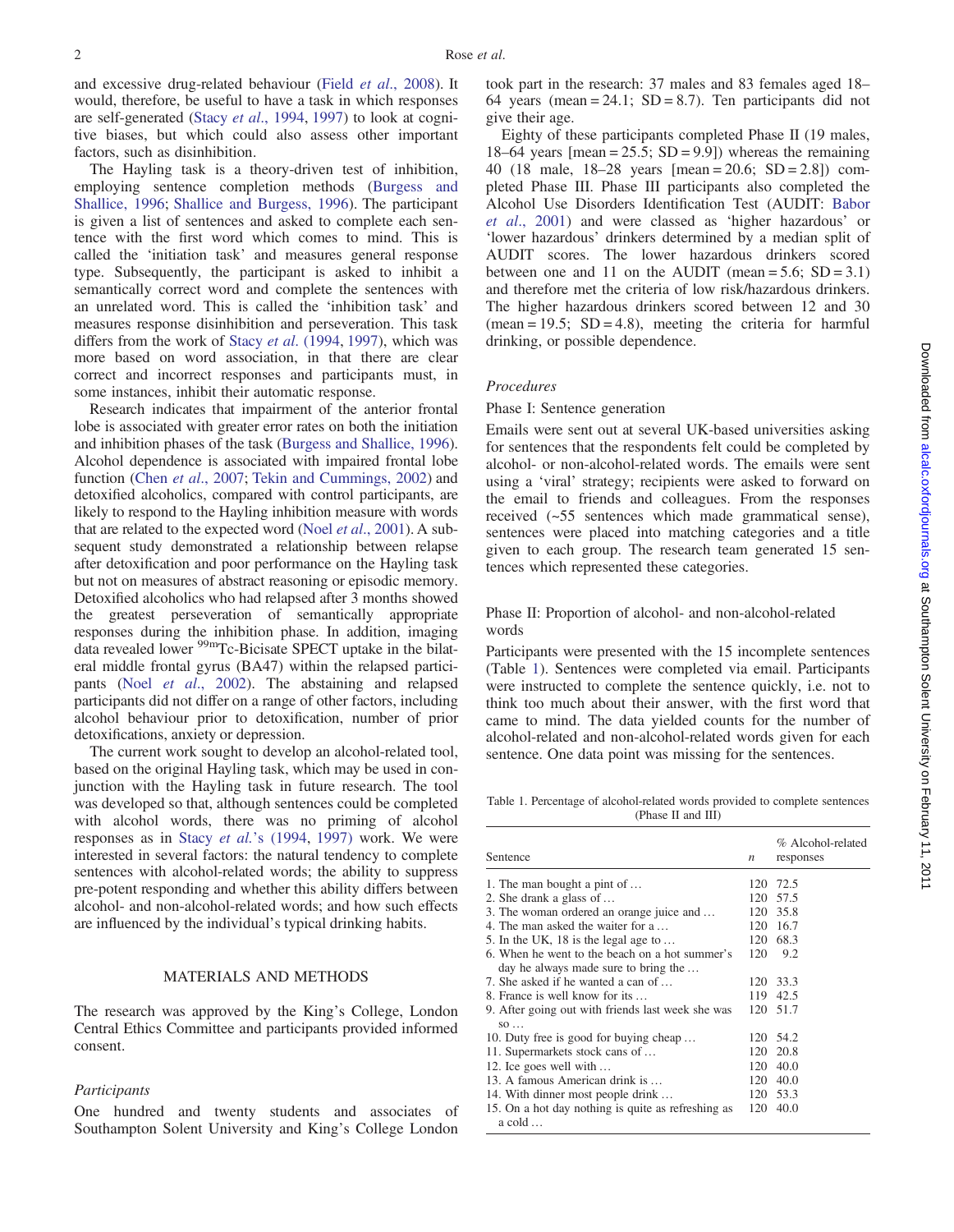<span id="page-1-0"></span>and excessive drug-related behaviour (Field et al[., 2008](#page-4-0)). It would, therefore, be useful to have a task in which responses are self-generated (Stacy et al[., 1994,](#page-5-0) [1997](#page-5-0)) to look at cognitive biases, but which could also assess other important factors, such as disinhibition.

The Hayling task is a theory-driven test of inhibition, employing sentence completion methods [\(Burgess and](#page-4-0) [Shallice, 1996;](#page-4-0) [Shallice and Burgess, 1996\)](#page-5-0). The participant is given a list of sentences and asked to complete each sentence with the first word which comes to mind. This is called the 'initiation task' and measures general response type. Subsequently, the participant is asked to inhibit a semantically correct word and complete the sentences with an unrelated word. This is called the 'inhibition task' and measures response disinhibition and perseveration. This task differs from the work of Stacy et al[. \(1994](#page-5-0), [1997\)](#page-5-0), which was more based on word association, in that there are clear correct and incorrect responses and participants must, in some instances, inhibit their automatic response.

Research indicates that impairment of the anterior frontal lobe is associated with greater error rates on both the initiation and inhibition phases of the task [\(Burgess and Shallice, 1996\)](#page-4-0). Alcohol dependence is associated with impaired frontal lobe function (Chen et al[., 2007;](#page-4-0) [Tekin and Cummings, 2002](#page-5-0)) and detoxified alcoholics, compared with control participants, are likely to respond to the Hayling inhibition measure with words that are related to the expected word (Noel et al[., 2001](#page-4-0)). A subsequent study demonstrated a relationship between relapse after detoxification and poor performance on the Hayling task but not on measures of abstract reasoning or episodic memory. Detoxified alcoholics who had relapsed after 3 months showed the greatest perseveration of semantically appropriate responses during the inhibition phase. In addition, imaging data revealed lower <sup>99m</sup>Tc-Bicisate SPECT uptake in the bilateral middle frontal gyrus (BA47) within the relapsed participants (Noel et al[., 2002](#page-4-0)). The abstaining and relapsed participants did not differ on a range of other factors, including alcohol behaviour prior to detoxification, number of prior detoxifications, anxiety or depression.

The current work sought to develop an alcohol-related tool, based on the original Hayling task, which may be used in conjunction with the Hayling task in future research. The tool was developed so that, although sentences could be completed with alcohol words, there was no priming of alcohol responses as in Stacy et al.'[s \(1994](#page-5-0), [1997\)](#page-5-0) work. We were interested in several factors: the natural tendency to complete sentences with alcohol-related words; the ability to suppress pre-potent responding and whether this ability differs between alcohol- and non-alcohol-related words; and how such effects are influenced by the individual's typical drinking habits.

## MATERIALS AND METHODS

The research was approved by the King's College, London Central Ethics Committee and participants provided informed consent.

#### Participants

One hundred and twenty students and associates of Southampton Solent University and King's College London

took part in the research: 37 males and 83 females aged 18– 64 years (mean =  $24.1$ ; SD =  $8.7$ ). Ten participants did not give their age.

Eighty of these participants completed Phase II (19 males, 18–64 years  $[mean = 25.5; SD = 9.9]$  whereas the remaining 40 (18 male, 18–28 years [mean = 20.6; SD = 2.8]) completed Phase III. Phase III participants also completed the Alcohol Use Disorders Identification Test (AUDIT: [Babor](#page-4-0) et al[., 2001\)](#page-4-0) and were classed as 'higher hazardous' or 'lower hazardous' drinkers determined by a median split of AUDIT scores. The lower hazardous drinkers scored between one and 11 on the AUDIT (mean =  $5.6$ ; SD =  $3.1$ ) and therefore met the criteria of low risk/hazardous drinkers. The higher hazardous drinkers scored between 12 and 30  $(mean = 19.5; SD = 4.8)$ , meeting the criteria for harmful drinking, or possible dependence.

## Procedures

## Phase I: Sentence generation

Emails were sent out at several UK-based universities asking for sentences that the respondents felt could be completed by alcohol- or non-alcohol-related words. The emails were sent using a 'viral' strategy; recipients were asked to forward on the email to friends and colleagues. From the responses received (~55 sentences which made grammatical sense), sentences were placed into matching categories and a title given to each group. The research team generated 15 sentences which represented these categories.

## Phase II: Proportion of alcohol- and non-alcohol-related words

Participants were presented with the 15 incomplete sentences (Table 1). Sentences were completed via email. Participants were instructed to complete the sentence quickly, i.e. not to think too much about their answer, with the first word that came to mind. The data yielded counts for the number of alcohol-related and non-alcohol-related words given for each sentence. One data point was missing for the sentences.

Table 1. Percentage of alcohol-related words provided to complete sentences (Phase II and III)

| Sentence                                                               | n    | % Alcohol-related<br>responses |
|------------------------------------------------------------------------|------|--------------------------------|
| 1. The man bought a pint of                                            | 120  | 72.5                           |
| 2. She drank a glass of                                                | 120  | 57.5                           |
| 3. The woman ordered an orange juice and                               | 120  | 35.8                           |
| 4. The man asked the waiter for a                                      | 120  | 16.7                           |
| 5. In the UK, 18 is the legal age to $\dots$                           | 120  | 68.3                           |
| 6. When he went to the beach on a hot summer's                         | 120  | 9.2                            |
| day he always made sure to bring the                                   |      |                                |
| 7. She asked if he wanted a can of                                     | 120  | 33.3                           |
| 8. France is well know for its                                         | 119  | 42.5                           |
| 9. After going out with friends last week she was                      | 120  | 51.7                           |
| $SO \ldots$                                                            |      |                                |
| 10. Duty free is good for buying cheap                                 | 120. | 54.2                           |
| 11. Supermarkets stock cans of                                         | 120  | 20.8                           |
| 12. Ice goes well with                                                 |      | 120 40.0                       |
| 13. A famous American drink is                                         | 120  | 40.0                           |
| 14. With dinner most people drink                                      | 120  | 53.3                           |
| 15. On a hot day nothing is quite as refreshing as<br>$a$ cold $\dots$ | 120  | 40.0                           |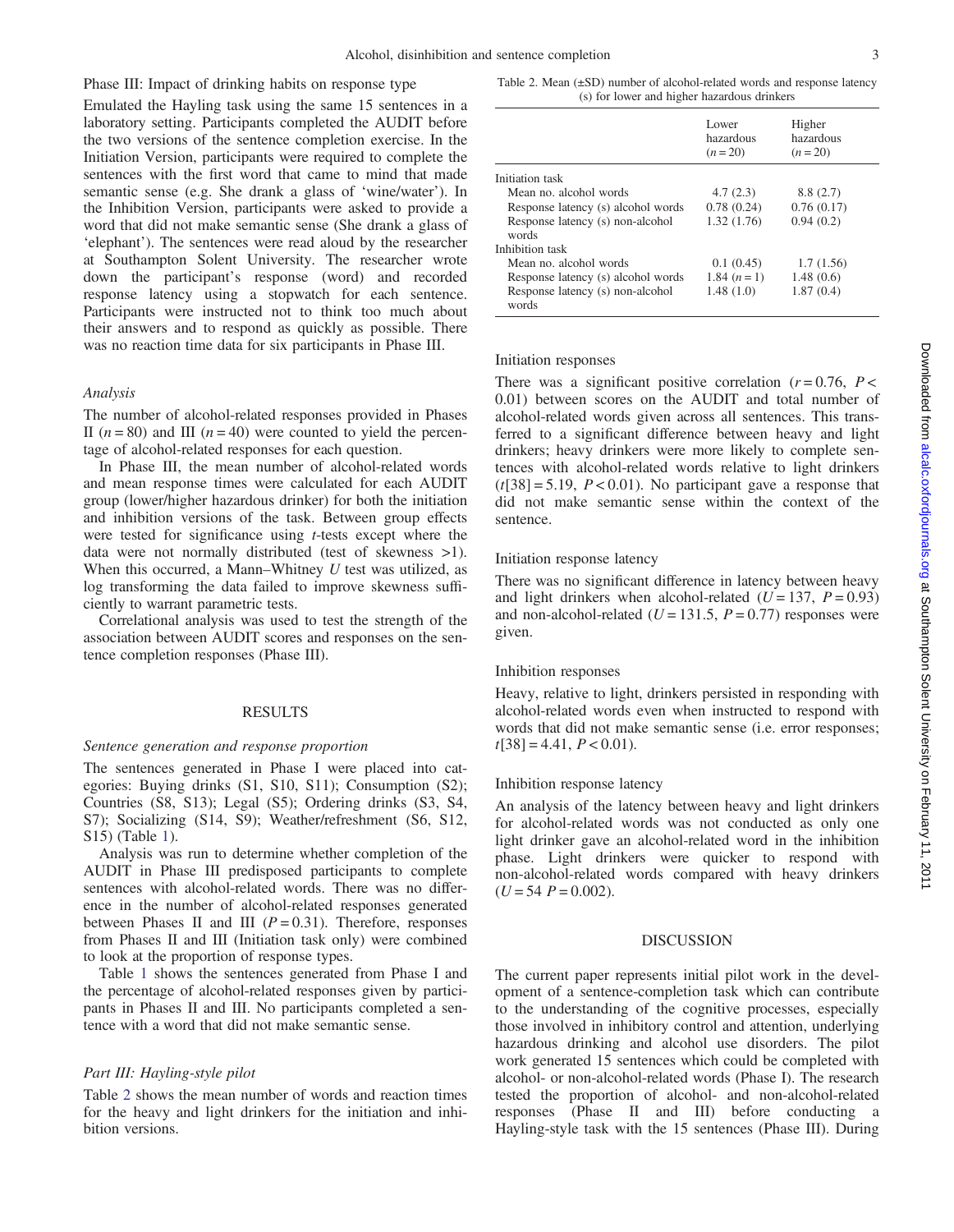## Phase III: Impact of drinking habits on response type

Emulated the Hayling task using the same 15 sentences in a laboratory setting. Participants completed the AUDIT before the two versions of the sentence completion exercise. In the Initiation Version, participants were required to complete the sentences with the first word that came to mind that made semantic sense (e.g. She drank a glass of 'wine/water'). In the Inhibition Version, participants were asked to provide a word that did not make semantic sense (She drank a glass of 'elephant'). The sentences were read aloud by the researcher at Southampton Solent University. The researcher wrote down the participant's response (word) and recorded response latency using a stopwatch for each sentence. Participants were instructed not to think too much about their answers and to respond as quickly as possible. There was no reaction time data for six participants in Phase III.

#### Analysis

The number of alcohol-related responses provided in Phases II  $(n = 80)$  and III  $(n = 40)$  were counted to yield the percentage of alcohol-related responses for each question.

In Phase III, the mean number of alcohol-related words and mean response times were calculated for each AUDIT group (lower/higher hazardous drinker) for both the initiation and inhibition versions of the task. Between group effects were tested for significance using t-tests except where the data were not normally distributed (test of skewness >1). When this occurred, a Mann–Whitney  $U$  test was utilized, as log transforming the data failed to improve skewness sufficiently to warrant parametric tests.

Correlational analysis was used to test the strength of the association between AUDIT scores and responses on the sentence completion responses (Phase III).

#### RESULTS

#### Sentence generation and response proportion

The sentences generated in Phase I were placed into categories: Buying drinks (S1, S10, S11); Consumption (S2); Countries (S8, S13); Legal (S5); Ordering drinks (S3, S4, S7); Socializing (S14, S9); Weather/refreshment (S6, S12, S15) (Table [1\)](#page-1-0).

Analysis was run to determine whether completion of the AUDIT in Phase III predisposed participants to complete sentences with alcohol-related words. There was no difference in the number of alcohol-related responses generated between Phases II and III ( $P = 0.31$ ). Therefore, responses from Phases II and III (Initiation task only) were combined to look at the proportion of response types.

Table [1](#page-1-0) shows the sentences generated from Phase I and the percentage of alcohol-related responses given by participants in Phases II and III. No participants completed a sentence with a word that did not make semantic sense.

## Part III: Hayling-style pilot

Table 2 shows the mean number of words and reaction times for the heavy and light drinkers for the initiation and inhibition versions.

Table 2. Mean (±SD) number of alcohol-related words and response latency (s) for lower and higher hazardous drinkers

|                                           | Lower<br>hazardous<br>$(n=20)$ | Higher<br>hazardous<br>$(n=20)$ |
|-------------------------------------------|--------------------------------|---------------------------------|
| Initiation task                           |                                |                                 |
| Mean no. alcohol words                    | 4.7(2.3)                       | 8.8(2.7)                        |
| Response latency (s) alcohol words        | 0.78(0.24)                     | 0.76(0.17)                      |
| Response latency (s) non-alcohol<br>words | 1.32(1.76)                     | 0.94(0.2)                       |
| Inhibition task                           |                                |                                 |
| Mean no alcohol words                     | 0.1(0.45)                      | 1.7(1.56)                       |
| Response latency (s) alcohol words        | 1.84 $(n=1)$                   | 1.48(0.6)                       |
| Response latency (s) non-alcohol<br>words | 1.48(1.0)                      | 1.87(0.4)                       |

#### Initiation responses

There was a significant positive correlation  $(r = 0.76, P <$ 0.01) between scores on the AUDIT and total number of alcohol-related words given across all sentences. This transferred to a significant difference between heavy and light drinkers; heavy drinkers were more likely to complete sentences with alcohol-related words relative to light drinkers  $(t[38] = 5.19, P < 0.01)$ . No participant gave a response that did not make semantic sense within the context of the sentence.

## Initiation response latency

There was no significant difference in latency between heavy and light drinkers when alcohol-related  $(U = 137, P = 0.93)$ and non-alcohol-related ( $U = 131.5$ ,  $P = 0.77$ ) responses were given.

## Inhibition responses

Heavy, relative to light, drinkers persisted in responding with alcohol-related words even when instructed to respond with words that did not make semantic sense (i.e. error responses;  $t[38] = 4.41, P < 0.01$ ).

## Inhibition response latency

An analysis of the latency between heavy and light drinkers for alcohol-related words was not conducted as only one light drinker gave an alcohol-related word in the inhibition phase. Light drinkers were quicker to respond with non-alcohol-related words compared with heavy drinkers  $(U = 54$   $P = 0.002$ ).

## DISCUSSION

The current paper represents initial pilot work in the development of a sentence-completion task which can contribute to the understanding of the cognitive processes, especially those involved in inhibitory control and attention, underlying hazardous drinking and alcohol use disorders. The pilot work generated 15 sentences which could be completed with alcohol- or non-alcohol-related words (Phase I). The research tested the proportion of alcohol- and non-alcohol-related responses (Phase II and III) before conducting a Hayling-style task with the 15 sentences (Phase III). During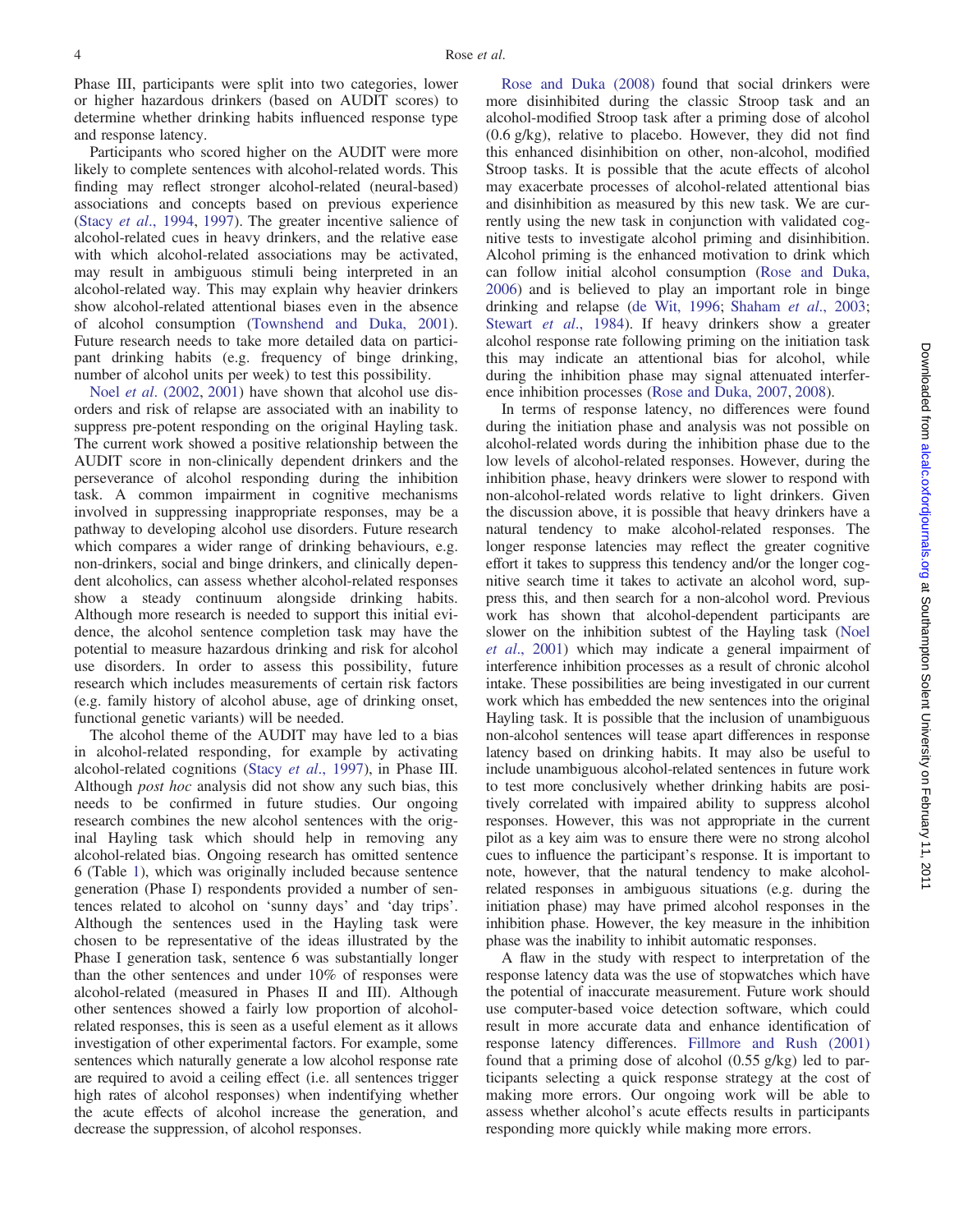Phase III, participants were split into two categories, lower or higher hazardous drinkers (based on AUDIT scores) to determine whether drinking habits influenced response type and response latency.

Participants who scored higher on the AUDIT were more likely to complete sentences with alcohol-related words. This finding may reflect stronger alcohol-related (neural-based) associations and concepts based on previous experience (Stacy et al[., 1994,](#page-5-0) [1997](#page-5-0)). The greater incentive salience of alcohol-related cues in heavy drinkers, and the relative ease with which alcohol-related associations may be activated, may result in ambiguous stimuli being interpreted in an alcohol-related way. This may explain why heavier drinkers show alcohol-related attentional biases even in the absence of alcohol consumption ([Townshend and Duka, 2001\)](#page-5-0). Future research needs to take more detailed data on participant drinking habits (e.g. frequency of binge drinking, number of alcohol units per week) to test this possibility.

Noel *et al.* (2002, [2001](#page-4-0)) have shown that alcohol use disorders and risk of relapse are associated with an inability to suppress pre-potent responding on the original Hayling task. The current work showed a positive relationship between the AUDIT score in non-clinically dependent drinkers and the perseverance of alcohol responding during the inhibition task. A common impairment in cognitive mechanisms involved in suppressing inappropriate responses, may be a pathway to developing alcohol use disorders. Future research which compares a wider range of drinking behaviours, e.g. non-drinkers, social and binge drinkers, and clinically dependent alcoholics, can assess whether alcohol-related responses show a steady continuum alongside drinking habits. Although more research is needed to support this initial evidence, the alcohol sentence completion task may have the potential to measure hazardous drinking and risk for alcohol use disorders. In order to assess this possibility, future research which includes measurements of certain risk factors (e.g. family history of alcohol abuse, age of drinking onset, functional genetic variants) will be needed.

The alcohol theme of the AUDIT may have led to a bias in alcohol-related responding, for example by activating alcohol-related cognitions (Stacy et al[., 1997\)](#page-5-0), in Phase III. Although post hoc analysis did not show any such bias, this needs to be confirmed in future studies. Our ongoing research combines the new alcohol sentences with the original Hayling task which should help in removing any alcohol-related bias. Ongoing research has omitted sentence 6 (Table [1](#page-1-0)), which was originally included because sentence generation (Phase I) respondents provided a number of sentences related to alcohol on 'sunny days' and 'day trips'. Although the sentences used in the Hayling task were chosen to be representative of the ideas illustrated by the Phase I generation task, sentence 6 was substantially longer than the other sentences and under 10% of responses were alcohol-related (measured in Phases II and III). Although other sentences showed a fairly low proportion of alcoholrelated responses, this is seen as a useful element as it allows investigation of other experimental factors. For example, some sentences which naturally generate a low alcohol response rate are required to avoid a ceiling effect (i.e. all sentences trigger high rates of alcohol responses) when indentifying whether the acute effects of alcohol increase the generation, and decrease the suppression, of alcohol responses.

[Rose and Duka \(2008\)](#page-5-0) found that social drinkers were more disinhibited during the classic Stroop task and an alcohol-modified Stroop task after a priming dose of alcohol (0.6 g/kg), relative to placebo. However, they did not find this enhanced disinhibition on other, non-alcohol, modified Stroop tasks. It is possible that the acute effects of alcohol may exacerbate processes of alcohol-related attentional bias and disinhibition as measured by this new task. We are currently using the new task in conjunction with validated cognitive tests to investigate alcohol priming and disinhibition. Alcohol priming is the enhanced motivation to drink which can follow initial alcohol consumption [\(Rose and Duka,](#page-5-0) [2006](#page-5-0)) and is believed to play an important role in binge drinking and relapse [\(de Wit, 1996](#page-4-0); [Shaham](#page-5-0) et al., 2003; Stewart *et al.*, 1984). If heavy drinkers show a greater alcohol response rate following priming on the initiation task this may indicate an attentional bias for alcohol, while during the inhibition phase may signal attenuated interference inhibition processes ([Rose and Duka, 2007,](#page-5-0) [2008\)](#page-5-0).

In terms of response latency, no differences were found during the initiation phase and analysis was not possible on alcohol-related words during the inhibition phase due to the low levels of alcohol-related responses. However, during the inhibition phase, heavy drinkers were slower to respond with non-alcohol-related words relative to light drinkers. Given the discussion above, it is possible that heavy drinkers have a natural tendency to make alcohol-related responses. The longer response latencies may reflect the greater cognitive effort it takes to suppress this tendency and/or the longer cognitive search time it takes to activate an alcohol word, suppress this, and then search for a non-alcohol word. Previous work has shown that alcohol-dependent participants are slower on the inhibition subtest of the Hayling task ([Noel](#page-4-0) et al[., 2001\)](#page-4-0) which may indicate a general impairment of interference inhibition processes as a result of chronic alcohol intake. These possibilities are being investigated in our current work which has embedded the new sentences into the original Hayling task. It is possible that the inclusion of unambiguous non-alcohol sentences will tease apart differences in response latency based on drinking habits. It may also be useful to include unambiguous alcohol-related sentences in future work to test more conclusively whether drinking habits are positively correlated with impaired ability to suppress alcohol responses. However, this was not appropriate in the current pilot as a key aim was to ensure there were no strong alcohol cues to influence the participant's response. It is important to note, however, that the natural tendency to make alcoholrelated responses in ambiguous situations (e.g. during the initiation phase) may have primed alcohol responses in the inhibition phase. However, the key measure in the inhibition phase was the inability to inhibit automatic responses.

A flaw in the study with respect to interpretation of the response latency data was the use of stopwatches which have the potential of inaccurate measurement. Future work should use computer-based voice detection software, which could result in more accurate data and enhance identification of response latency differences. [Fillmore and Rush \(2001\)](#page-4-0) found that a priming dose of alcohol (0.55 g/kg) led to participants selecting a quick response strategy at the cost of making more errors. Our ongoing work will be able to assess whether alcohol's acute effects results in participants responding more quickly while making more errors.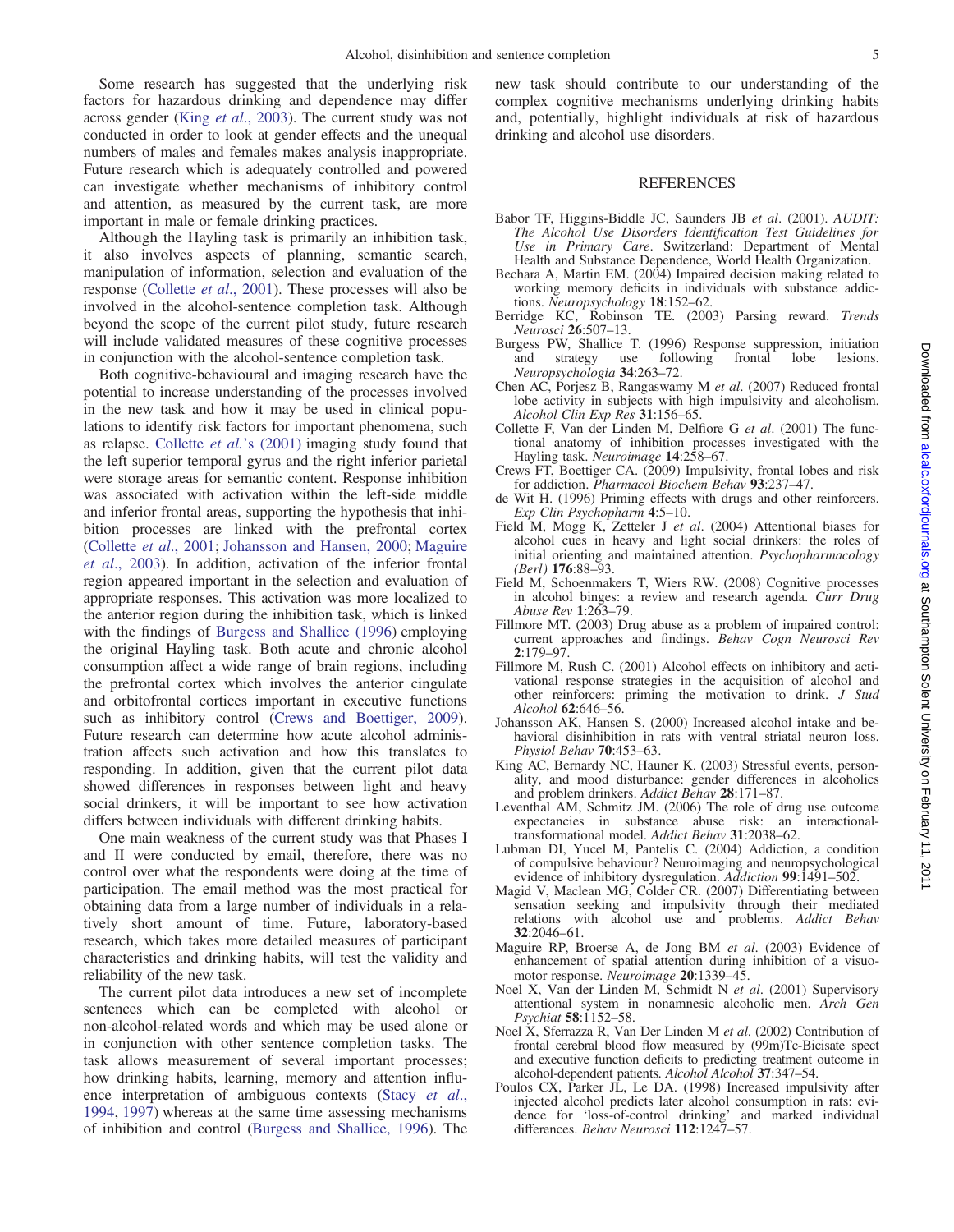<span id="page-4-0"></span>Some research has suggested that the underlying risk factors for hazardous drinking and dependence may differ across gender (King et al., 2003). The current study was not conducted in order to look at gender effects and the unequal numbers of males and females makes analysis inappropriate. Future research which is adequately controlled and powered can investigate whether mechanisms of inhibitory control and attention, as measured by the current task, are more important in male or female drinking practices.

Although the Hayling task is primarily an inhibition task, it also involves aspects of planning, semantic search, manipulation of information, selection and evaluation of the response (Collette et al., 2001). These processes will also be involved in the alcohol-sentence completion task. Although beyond the scope of the current pilot study, future research will include validated measures of these cognitive processes in conjunction with the alcohol-sentence completion task.

Both cognitive-behavioural and imaging research have the potential to increase understanding of the processes involved in the new task and how it may be used in clinical populations to identify risk factors for important phenomena, such as relapse. Collette et al.'s (2001) imaging study found that the left superior temporal gyrus and the right inferior parietal were storage areas for semantic content. Response inhibition was associated with activation within the left-side middle and inferior frontal areas, supporting the hypothesis that inhibition processes are linked with the prefrontal cortex (Collette et al., 2001; Johansson and Hansen, 2000; Maguire et al., 2003). In addition, activation of the inferior frontal region appeared important in the selection and evaluation of appropriate responses. This activation was more localized to the anterior region during the inhibition task, which is linked with the findings of Burgess and Shallice (1996) employing the original Hayling task. Both acute and chronic alcohol consumption affect a wide range of brain regions, including the prefrontal cortex which involves the anterior cingulate and orbitofrontal cortices important in executive functions such as inhibitory control (Crews and Boettiger, 2009). Future research can determine how acute alcohol administration affects such activation and how this translates to responding. In addition, given that the current pilot data showed differences in responses between light and heavy social drinkers, it will be important to see how activation differs between individuals with different drinking habits.

One main weakness of the current study was that Phases I and II were conducted by email, therefore, there was no control over what the respondents were doing at the time of participation. The email method was the most practical for obtaining data from a large number of individuals in a relatively short amount of time. Future, laboratory-based research, which takes more detailed measures of participant characteristics and drinking habits, will test the validity and reliability of the new task.

The current pilot data introduces a new set of incomplete sentences which can be completed with alcohol or non-alcohol-related words and which may be used alone or in conjunction with other sentence completion tasks. The task allows measurement of several important processes; how drinking habits, learning, memory and attention influ-ence interpretation of ambiguous contexts ([Stacy](#page-5-0) et al., [1994,](#page-5-0) [1997\)](#page-5-0) whereas at the same time assessing mechanisms of inhibition and control (Burgess and Shallice, 1996). The

new task should contribute to our understanding of the complex cognitive mechanisms underlying drinking habits and, potentially, highlight individuals at risk of hazardous drinking and alcohol use disorders.

## REFERENCES

- Babor TF, Higgins-Biddle JC, Saunders JB et al. (2001). AUDIT: The Alcohol Use Disorders Identification Test Guidelines for Use in Primary Care. Switzerland: Department of Mental Health and Substance Dependence, World Health Organization.
- Bechara A, Martin EM. (2004) Impaired decision making related to working memory deficits in individuals with substance addictions. Neuropsychology 18:152-62.
- Berridge KC, Robinson TE. (2003) Parsing reward. Trends Neurosci 26:507–13.
- Burgess PW, Shallice T. (1996) Response suppression, initiation and strategy use following frontal lobe lesions. Neuropsychologia 34:263–72.
- Chen AC, Porjesz B, Rangaswamy M et al. (2007) Reduced frontal lobe activity in subjects with high impulsivity and alcoholism. Alcohol Clin Exp Res 31:156–65.
- Collette F, Van der Linden M, Delfiore G et al. (2001) The functional anatomy of inhibition processes investigated with the Hayling task. Neuroimage 14:258–67.
- Crews FT, Boettiger CA. (2009) Impulsivity, frontal lobes and risk for addiction. Pharmacol Biochem Behav 93:237-47.
- de Wit H. (1996) Priming effects with drugs and other reinforcers. Exp Clin Psychopharm 4:5–10.
- Field M, Mogg K, Zetteler J et al. (2004) Attentional biases for alcohol cues in heavy and light social drinkers: the roles of initial orienting and maintained attention. Psychopharmacology (Berl) 176:88–93.
- Field M, Schoenmakers T, Wiers RW. (2008) Cognitive processes in alcohol binges: a review and research agenda. Curr Drug Abuse Rev 1:263–79.
- Fillmore MT. (2003) Drug abuse as a problem of impaired control: current approaches and findings. Behav Cogn Neurosci Rev 2:179–97.
- Fillmore M, Rush C. (2001) Alcohol effects on inhibitory and activational response strategies in the acquisition of alcohol and other reinforcers: priming the motivation to drink. J Stud Alcohol 62:646–56.
- Johansson AK, Hansen S. (2000) Increased alcohol intake and behavioral disinhibition in rats with ventral striatal neuron loss. Physiol Behav 70:453–63.
- King AC, Bernardy NC, Hauner K. (2003) Stressful events, personality, and mood disturbance: gender differences in alcoholics and problem drinkers. Addict Behav 28:171–87.
- Leventhal AM, Schmitz JM. (2006) The role of drug use outcome expectancies in substance abuse risk: an transformational model. Addict Behav 31:2038–62.
- Lubman DI, Yucel M, Pantelis C. (2004) Addiction, a condition of compulsive behaviour? Neuroimaging and neuropsychological evidence of inhibitory dysregulation. Addiction 99:1491–502.
- Magid V, Maclean MG, Colder CR. (2007) Differentiating between sensation seeking and impulsivity through their mediated relations with alcohol use and problems. Addict Behav  $32:2046-61$
- Maguire RP, Broerse A, de Jong BM et al. (2003) Evidence of enhancement of spatial attention during inhibition of a visuomotor response. Neuroimage 20:1339–45.
- Noel X, Van der Linden M, Schmidt N et al. (2001) Supervisory attentional system in nonamnesic alcoholic men. Arch Gen Psychiat 58:1152–58.
- Noel X, Sferrazza R, Van Der Linden M et al. (2002) Contribution of frontal cerebral blood flow measured by (99m)Tc-Bicisate spect and executive function deficits to predicting treatment outcome in alcohol-dependent patients. Alcohol Alcohol 37:347–54.
- Poulos CX, Parker JL, Le DA. (1998) Increased impulsivity after injected alcohol predicts later alcohol consumption in rats: evidence for 'loss-of-control drinking' and marked individual differences. Behav Neurosci 112:1247-57.